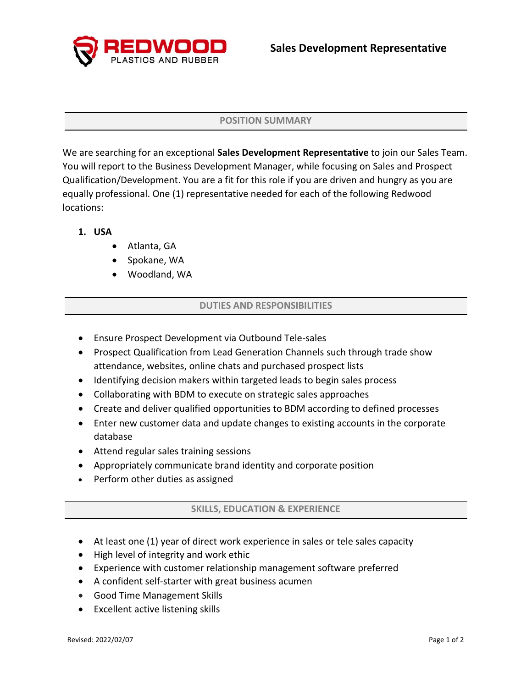

### **POSITION SUMMARY**

We are searching for an exceptional **Sales Development Representative** to join our Sales Team. You will report to the Business Development Manager, while focusing on Sales and Prospect Qualification/Development. You are a fit for this role if you are driven and hungry as you are equally professional. One (1) representative needed for each of the following Redwood locations:

# **1. USA**

- Atlanta, GA
- Spokane, WA
- Woodland, WA

## **DUTIES AND RESPONSIBILITIES**

- Ensure Prospect Development via Outbound Tele-sales
- Prospect Qualification from Lead Generation Channels such through trade show attendance, websites, online chats and purchased prospect lists
- Identifying decision makers within targeted leads to begin sales process
- Collaborating with BDM to execute on strategic sales approaches
- Create and deliver qualified opportunities to BDM according to defined processes
- Enter new customer data and update changes to existing accounts in the corporate database
- Attend regular sales training sessions
- Appropriately communicate brand identity and corporate position
- Perform other duties as assigned

## **SKILLS, EDUCATION & EXPERIENCE**

- At least one (1) year of direct work experience in sales or tele sales capacity
- High level of integrity and work ethic
- Experience with customer relationship management software preferred
- A confident self-starter with great business acumen
- Good Time Management Skills
- Excellent active listening skills